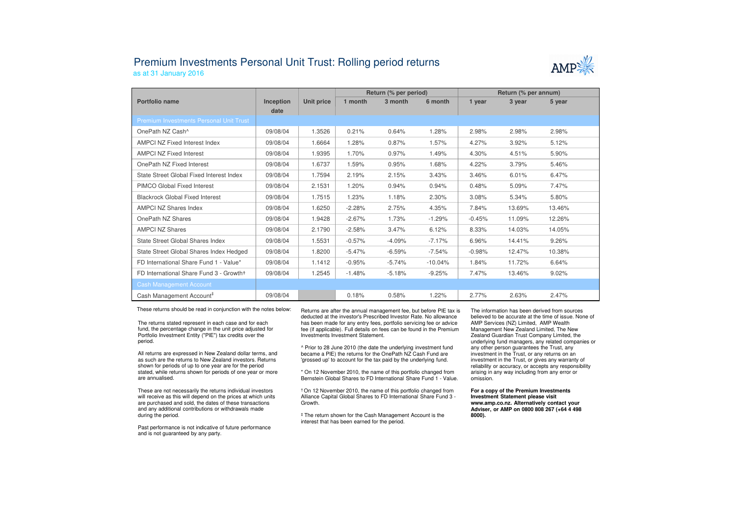## Premium Investments Personal Unit Trust: Rolling period returns



as at 31 January 2016

|                                                |                          |            | Return (% per period) |          |           | Return (% per annum) |        |        |  |
|------------------------------------------------|--------------------------|------------|-----------------------|----------|-----------|----------------------|--------|--------|--|
| Portfolio name                                 | <b>Inception</b><br>date | Unit price | 1 month               | 3 month  | 6 month   | 1 year               | 3 year | 5 year |  |
| <b>Premium Investments Personal Unit Trust</b> |                          |            |                       |          |           |                      |        |        |  |
| OnePath NZ Cash <sup>^</sup>                   | 09/08/04                 | 1.3526     | 0.21%                 | 0.64%    | 1.28%     | 2.98%                | 2.98%  | 2.98%  |  |
| <b>AMPCI NZ Fixed Interest Index</b>           | 09/08/04                 | 1.6664     | 1.28%                 | 0.87%    | 1.57%     | 4.27%                | 3.92%  | 5.12%  |  |
| <b>AMPCI NZ Fixed Interest</b>                 | 09/08/04                 | 1.9395     | 1.70%                 | 0.97%    | 1.49%     | 4.30%                | 4.51%  | 5.90%  |  |
| OnePath NZ Fixed Interest                      | 09/08/04                 | 1.6737     | 1.59%                 | 0.95%    | 1.68%     | 4.22%                | 3.79%  | 5.46%  |  |
| State Street Global Fixed Interest Index       | 09/08/04                 | 1.7594     | 2.19%                 | 2.15%    | 3.43%     | 3.46%                | 6.01%  | 6.47%  |  |
| PIMCO Global Fixed Interest                    | 09/08/04                 | 2.1531     | 1.20%                 | 0.94%    | 0.94%     | 0.48%                | 5.09%  | 7.47%  |  |
| <b>Blackrock Global Fixed Interest</b>         | 09/08/04                 | 1.7515     | 1.23%                 | 1.18%    | 2.30%     | 3.08%                | 5.34%  | 5.80%  |  |
| <b>AMPCI NZ Shares Index</b>                   | 09/08/04                 | 1.6250     | $-2.28%$              | 2.75%    | 4.35%     | 7.84%                | 13.69% | 13.46% |  |
| OnePath NZ Shares                              | 09/08/04                 | 1.9428     | $-2.67%$              | 1.73%    | $-1.29%$  | $-0.45%$             | 11.09% | 12.26% |  |
| <b>AMPCI NZ Shares</b>                         | 09/08/04                 | 2.1790     | $-2.58%$              | 3.47%    | 6.12%     | 8.33%                | 14.03% | 14.05% |  |
| State Street Global Shares Index               | 09/08/04                 | 1.5531     | $-0.57%$              | $-4.09%$ | $-7.17%$  | 6.96%                | 14.41% | 9.26%  |  |
| State Street Global Shares Index Hedged        | 09/08/04                 | 1.8200     | $-5.47%$              | $-6.59%$ | $-7.54%$  | $-0.98%$             | 12.47% | 10.38% |  |
| FD International Share Fund 1 - Value*         | 09/08/04                 | 1.1412     | $-0.95%$              | $-5.74%$ | $-10.04%$ | 1.84%                | 11.72% | 6.64%  |  |
| FD International Share Fund 3 - Growth+        | 09/08/04                 | 1.2545     | $-1.48%$              | $-5.18%$ | $-9.25%$  | 7.47%                | 13.46% | 9.02%  |  |
| <b>Cash Management Account</b>                 |                          |            |                       |          |           |                      |        |        |  |
| Cash Management Account <sup>#</sup>           | 09/08/04                 |            | 0.18%                 | 0.58%    | 1.22%     | 2.77%                | 2.63%  | 2.47%  |  |

These returns should be read in conjunction with the notes below:

The returns stated represent in each case and for each fund, the percentage change in the unit price adjusted for Portfolio Investment Entity ("PIE") tax credits over the period.

All returns are expressed in New Zealand dollar terms, and as such are the returns to New Zealand investors. Returns shown for periods of up to one year are for the period stated, while returns shown for periods of one year or more are annualised.

These are not necessarily the returns individual investors will receive as this will depend on the prices at which units are purchased and sold, the dates of these transactions and any additional contributions or withdrawals made during the period.

Past performance is not indicative of future performance and is not guaranteed by any party.

 Returns are after the annual management fee, but before PIE tax is deducted at the investor's Prescribed Investor Rate. No allowance has been made for any entry fees, portfolio servicing fee or advice fee (if applicable). Full details on fees can be found in the Premium Investments Investment Statement.

^ Prior to 28 June 2010 (the date the underlying investment fund became a PIE) the returns for the OnePath NZ Cash Fund are 'grossed up' to account for the tax paid by the underlying fund.

\* On 12 November 2010, the name of this portfolio changed from Bernstein Global Shares to FD International Share Fund 1 - Value.

† On 12 November 2010, the name of this portfolio changed from Alliance Capital Global Shares to FD International Share Fund 3 -Growth.

‡ The return shown for the Cash Management Account is the interest that has been earned for the period.

The information has been derived from sources believed to be accurate at the time of issue. None of AMP Services (NZ) Limited, AMP Wealth Management New Zealand Limited, The New Zealand Guardian Trust Company Limited, the underlying fund managers, any related companies or any other person guarantees the Trust, any investment in the Trust, or any returns on an investment in the Trust, or gives any warranty of reliability or accuracy, or accepts any responsibility arising in any way including from any error or omission.

**For a copy of the Premium Investments Investment Statement please visit www.amp.co.nz. Alternatively contact your Adviser, or AMP on 0800 808 267 (+64 4 498 8000).**